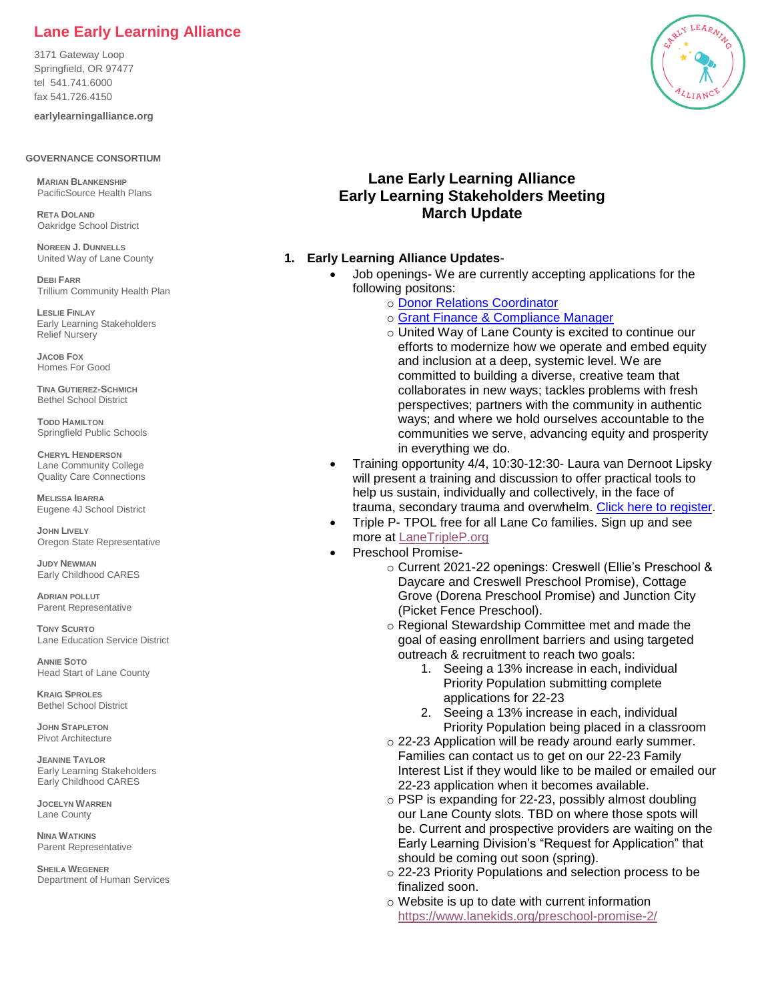## **Lane Early Learning Alliance**

3171 Gateway Loop Springfield, OR 97477 tel 541.741.6000 fax 541.726.4150

**earlylearningalliance.org**

## **GOVERNANCE CONSORTIUM**

**MARIAN BLANKENSHIP**  PacificSource Health Plans

**RETA DOLAND** Oakridge School District

**NOREEN J. DUNNELLS** United Way of Lane County

**DEBI FARR** Trillium Community Health Plan

**LESLIE FINLAY** Early Learning Stakeholders Relief Nursery

**JACOB FOX** Homes For Good

**TINA GUTIEREZ-SCHMICH**  Bethel School District

**TODD HAMILTON** Springfield Public Schools

**CHERYL HENDERSON** Lane Community College Quality Care Connections

**MELISSA IBARRA** Eugene 4J School District

**JOHN LIVELY** Oregon State Representative

**JUDY NEWMAN** Early Childhood CARES

**ADRIAN POLLUT** Parent Representative

**TONY SCURTO** Lane Education Service District

**ANNIE SOTO** Head Start of Lane County

**KRAIG SPROLES** Bethel School District

**JOHN STAPLETON** Pivot Architecture

**JEANINE TAYLOR** Early Learning Stakeholders Early Childhood CARES

**JOCELYN WARREN** Lane County

**NINA WATKINS** Parent Representative

**SHEILA WEGENER** Department of Human Services



## **Lane Early Learning Alliance Early Learning Stakeholders Meeting March Update**

## **1. Early Learning Alliance Updates**-

- Job openings- We are currently accepting applications for the following positons:
	- o [Donor Relations Coordinator](https://unitedwaylane.applicantpool.com/jobs/751814.html)
	- o [Grant Finance & Compliance Manager](https://unitedwaylane.applicantpool.com/jobs/748629.html)
	- o United Way of Lane County is excited to continue our efforts to modernize how we operate and embed equity and inclusion at a deep, systemic level. We are committed to building a diverse, creative team that collaborates in new ways; tackles problems with fresh perspectives; partners with the community in authentic ways; and where we hold ourselves accountable to the communities we serve, advancing equity and prosperity in everything we do.
- Training opportunity 4/4, 10:30-12:30- Laura van Dernoot Lipsky will present a training and discussion to offer practical tools to help us sustain, individually and collectively, in the face of trauma, secondary trauma and overwhelm. [Click here to register.](https://www.eventbrite.com/e/transforming-trauma-how-to-do-this-work-and-sustain-registration-255547247697)
- Triple P- TPOL free for all Lane Co families. Sign up and see more a[t LaneTripleP.org](http://www.lanetriplep.org/)
- Preschool Promise
	- o Current 2021-22 openings: Creswell (Ellie's Preschool & Daycare and Creswell Preschool Promise), Cottage Grove (Dorena Preschool Promise) and Junction City (Picket Fence Preschool).
	- o Regional Stewardship Committee met and made the goal of easing enrollment barriers and using targeted outreach & recruitment to reach two goals:
		- 1. Seeing a 13% increase in each, individual Priority Population submitting complete applications for 22-23
		- 2. Seeing a 13% increase in each, individual Priority Population being placed in a classroom
	- o 22-23 Application will be ready around early summer. Families can contact us to get on our 22-23 Family Interest List if they would like to be mailed or emailed our 22-23 application when it becomes available.
	- o PSP is expanding for 22-23, possibly almost doubling our Lane County slots. TBD on where those spots will be. Current and prospective providers are waiting on the Early Learning Division's "Request for Application" that should be coming out soon (spring).
	- o 22-23 Priority Populations and selection process to be finalized soon.
	- o Website is up to date with current information <https://www.lanekids.org/preschool-promise-2/>